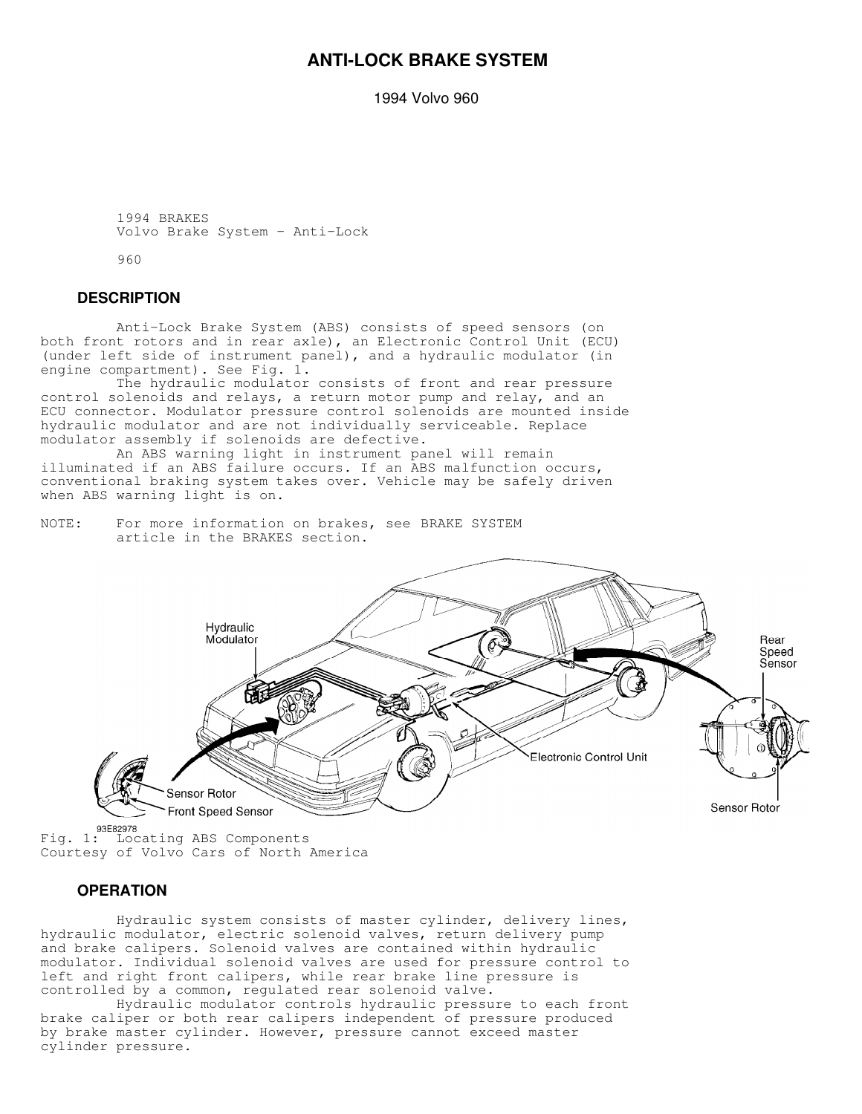# **ANTI-LOCK BRAKE SYSTEM**

1994 Volvo 960

```
 1994 BRAKES
Volvo Brake System - Anti-Lock
```
960

## **DESCRIPTION**

 Anti-Lock Brake System (ABS) consists of speed sensors (on both front rotors and in rear axle), an Electronic Control Unit (ECU) (under left side of instrument panel), and a hydraulic modulator (in engine compartment). See Fig. 1.

 The hydraulic modulator consists of front and rear pressure control solenoids and relays, a return motor pump and relay, and an ECU connector. Modulator pressure control solenoids are mounted inside hydraulic modulator and are not individually serviceable. Replace modulator assembly if solenoids are defective.

 An ABS warning light in instrument panel will remain illuminated if an ABS failure occurs. If an ABS malfunction occurs, conventional braking system takes over. Vehicle may be safely driven when ABS warning light is on.

NOTE: For more information on brakes, see BRAKE SYSTEM article in the BRAKES section.



Fig. 1: Locating ABS Components Courtesy of Volvo Cars of North America

## **OPERATION**

 Hydraulic system consists of master cylinder, delivery lines, hydraulic modulator, electric solenoid valves, return delivery pump and brake calipers. Solenoid valves are contained within hydraulic modulator. Individual solenoid valves are used for pressure control to left and right front calipers, while rear brake line pressure is controlled by a common, regulated rear solenoid valve.

 Hydraulic modulator controls hydraulic pressure to each front brake caliper or both rear calipers independent of pressure produced by brake master cylinder. However, pressure cannot exceed master cylinder pressure.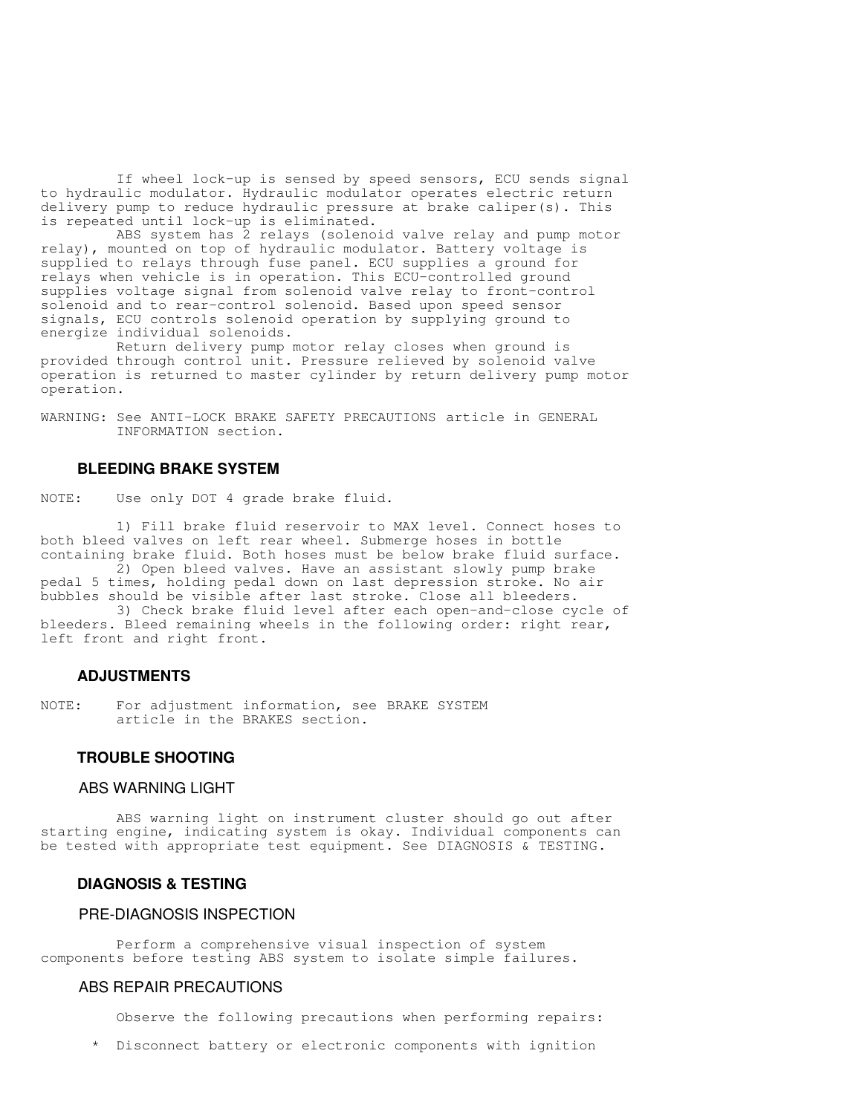If wheel lock-up is sensed by speed sensors, ECU sends signal to hydraulic modulator. Hydraulic modulator operates electric return delivery pump to reduce hydraulic pressure at brake caliper(s). This is repeated until lock-up is eliminated.

 ABS system has 2 relays (solenoid valve relay and pump motor relay), mounted on top of hydraulic modulator. Battery voltage is supplied to relays through fuse panel. ECU supplies a ground for relays when vehicle is in operation. This ECU-controlled ground supplies voltage signal from solenoid valve relay to front-control solenoid and to rear-control solenoid. Based upon speed sensor signals, ECU controls solenoid operation by supplying ground to energize individual solenoids.

 Return delivery pump motor relay closes when ground is provided through control unit. Pressure relieved by solenoid valve operation is returned to master cylinder by return delivery pump motor operation.

WARNING: See ANTI-LOCK BRAKE SAFETY PRECAUTIONS article in GENERAL INFORMATION section.

### **BLEEDING BRAKE SYSTEM**

NOTE: Use only DOT 4 grade brake fluid.

 1) Fill brake fluid reservoir to MAX level. Connect hoses to both bleed valves on left rear wheel. Submerge hoses in bottle containing brake fluid. Both hoses must be below brake fluid surface.

 2) Open bleed valves. Have an assistant slowly pump brake pedal 5 times, holding pedal down on last depression stroke. No air bubbles should be visible after last stroke. Close all bleeders.

 3) Check brake fluid level after each open-and-close cycle of bleeders. Bleed remaining wheels in the following order: right rear, left front and right front.

#### **ADJUSTMENTS**

NOTE: For adjustment information, see BRAKE SYSTEM article in the BRAKES section.

## **TROUBLE SHOOTING**

### ABS WARNING LIGHT

 ABS warning light on instrument cluster should go out after starting engine, indicating system is okay. Individual components can be tested with appropriate test equipment. See DIAGNOSIS & TESTING.

#### **DIAGNOSIS & TESTING**

## PRE-DIAGNOSIS INSPECTION

 Perform a comprehensive visual inspection of system components before testing ABS system to isolate simple failures.

## ABS REPAIR PRECAUTIONS

Observe the following precautions when performing repairs:

\* Disconnect battery or electronic components with ignition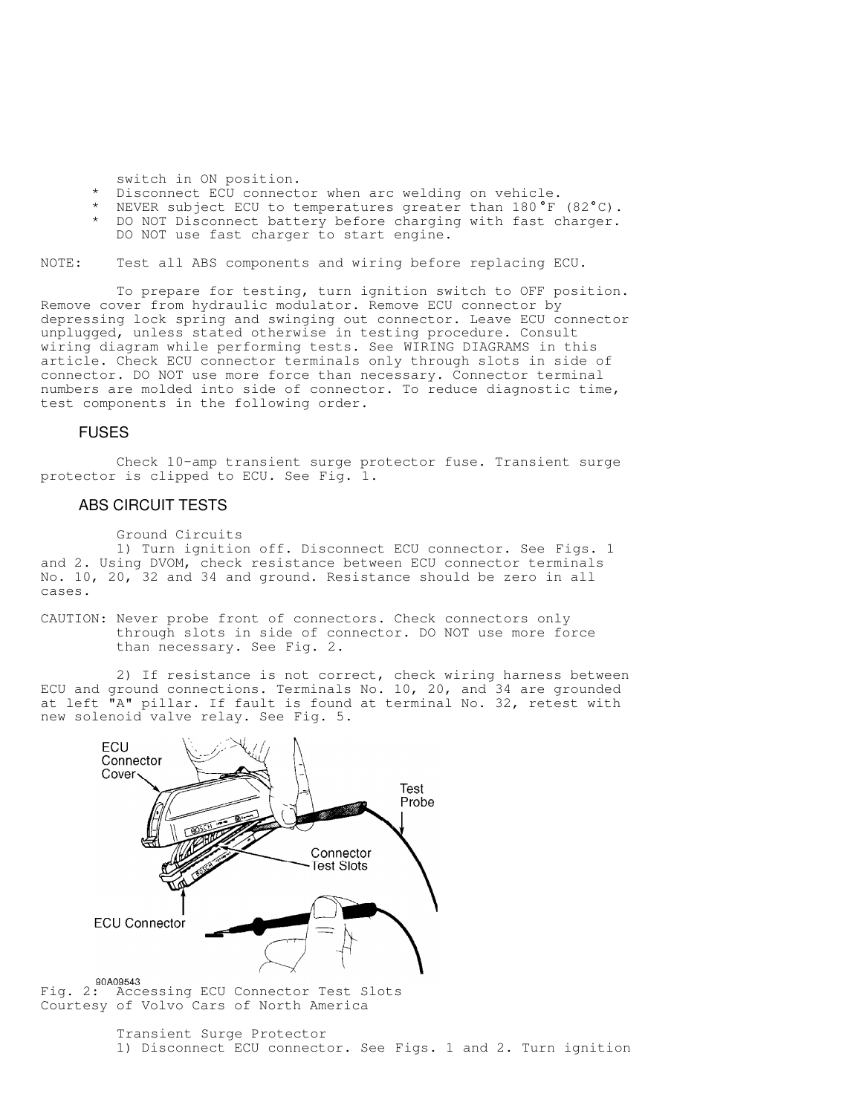switch in ON position.

- Disconnect ECU connector when arc welding on vehicle.
- \* NEVER subject ECU to temperatures greater than 180°F (82°C).
	- DO NOT Disconnect battery before charging with fast charger. DO NOT use fast charger to start engine.

NOTE: Test all ABS components and wiring before replacing ECU.

 To prepare for testing, turn ignition switch to OFF position. Remove cover from hydraulic modulator. Remove ECU connector by depressing lock spring and swinging out connector. Leave ECU connector unplugged, unless stated otherwise in testing procedure. Consult wiring diagram while performing tests. See WIRING DIAGRAMS in this article. Check ECU connector terminals only through slots in side of connector. DO NOT use more force than necessary. Connector terminal numbers are molded into side of connector. To reduce diagnostic time, test components in the following order.

### FUSES

 Check 10-amp transient surge protector fuse. Transient surge protector is clipped to ECU. See Fig. 1.

### ABS CIRCUIT TESTS

```
 Ground Circuits
```
 1) Turn ignition off. Disconnect ECU connector. See Figs. 1 and 2. Using DVOM, check resistance between ECU connector terminals No. 10, 20, 32 and 34 and ground. Resistance should be zero in all cases.

CAUTION: Never probe front of connectors. Check connectors only through slots in side of connector. DO NOT use more force than necessary. See Fig. 2.

2) If resistance is not correct, check wiring harness between ECU and ground connections. Terminals No. 10, 20, and 34 are grounded at left "A" pillar. If fault is found at terminal No. 32, retest with new solenoid valve relay. See Fig. 5.



Fig. 2: Accessing ECU Connector Test Slots Courtesy of Volvo Cars of North America

> Transient Surge Protector 1) Disconnect ECU connector. See Figs. 1 and 2. Turn ignition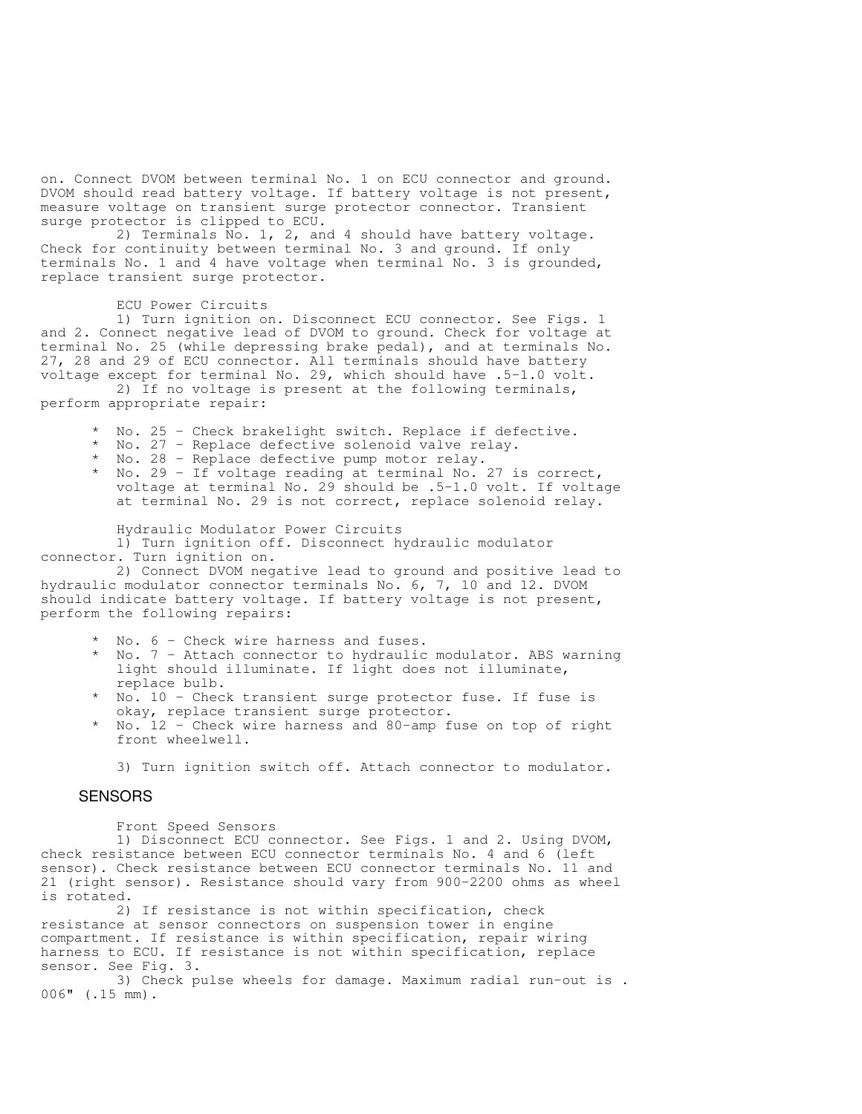on. Connect DVOM between terminal No. 1 on ECU connector and ground. DVOM should read battery voltage. If battery voltage is not present, measure voltage on transient surge protector connector. Transient surge protector is clipped to ECU.

 2) Terminals No. 1, 2, and 4 should have battery voltage. Check for continuity between terminal No. 3 and ground. If only terminals No. 1 and 4 have voltage when terminal No. 3 is grounded, replace transient surge protector.

#### ECU Power Circuits

 1) Turn ignition on. Disconnect ECU connector. See Figs. 1 and 2. Connect negative lead of DVOM to ground. Check for voltage at terminal No. 25 (while depressing brake pedal), and at terminals No. 27, 28 and 29 of ECU connector. All terminals should have battery voltage except for terminal No. 29, which should have .5-1.0 volt.

 2) If no voltage is present at the following terminals, perform appropriate repair:

- No. 25 Check brakelight switch. Replace if defective.
- No. 27 Replace defective solenoid valve relay.
- No. 28 Replace defective pump motor relay.
- No. 29 If voltage reading at terminal No. 27 is correct, voltage at terminal No. 29 should be .5-1.0 volt. If voltage at terminal No. 29 is not correct, replace solenoid relay.

Hydraulic Modulator Power Circuits

 1) Turn ignition off. Disconnect hydraulic modulator connector. Turn ignition on.

 2) Connect DVOM negative lead to ground and positive lead to hydraulic modulator connector terminals No. 6, 7, 10 and 12. DVOM should indicate battery voltage. If battery voltage is not present, perform the following repairs:

- \* No. 6 Check wire harness and fuses.
- No. 7 Attach connector to hydraulic modulator. ABS warning light should illuminate. If light does not illuminate, replace bulb.
- No. 10 Check transient surge protector fuse. If fuse is okay, replace transient surge protector.
- No.  $12$  Check wire harness and 80-amp fuse on top of right front wheelwell.

3) Turn ignition switch off. Attach connector to modulator.

## **SENSORS**

Front Speed Sensors

 1) Disconnect ECU connector. See Figs. 1 and 2. Using DVOM, check resistance between ECU connector terminals No. 4 and 6 (left sensor). Check resistance between ECU connector terminals No. 11 and 21 (right sensor). Resistance should vary from 900-2200 ohms as wheel is rotated.

 2) If resistance is not within specification, check resistance at sensor connectors on suspension tower in engine compartment. If resistance is within specification, repair wiring harness to ECU. If resistance is not within specification, replace sensor. See Fig. 3.

 3) Check pulse wheels for damage. Maximum radial run-out is . 006" (.15 mm).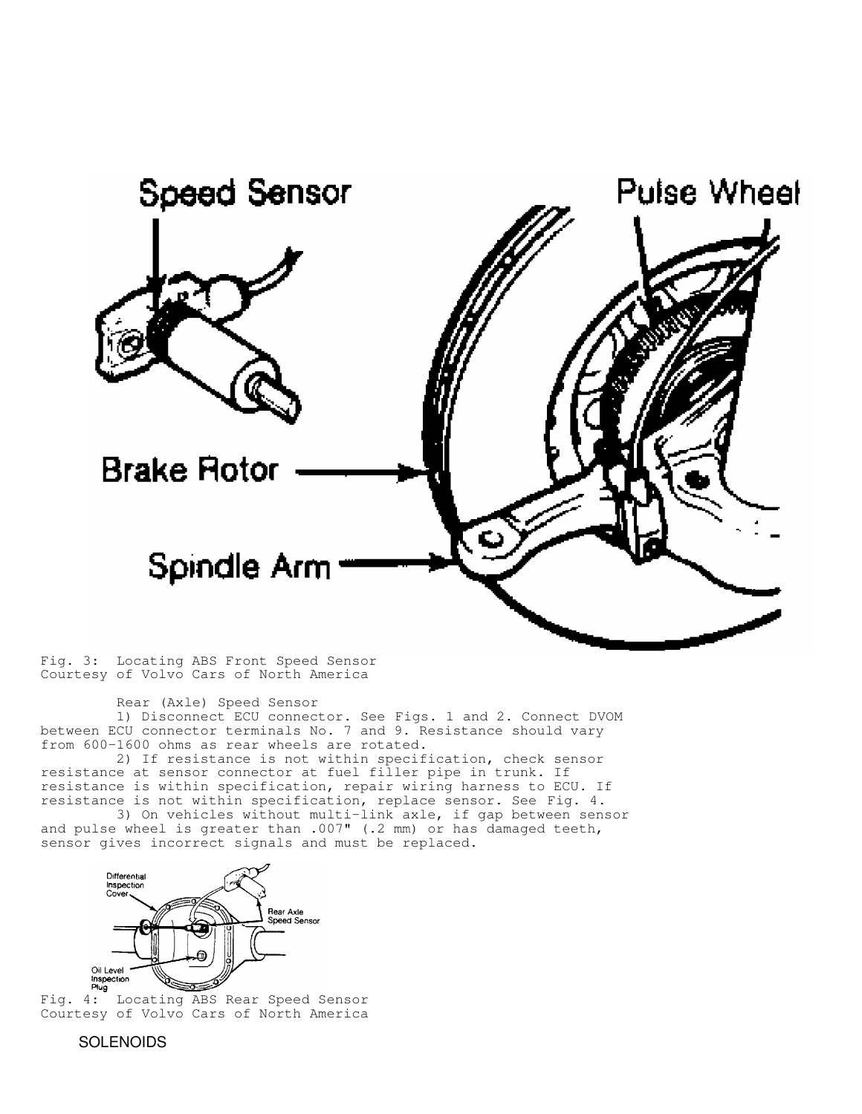

Fig. 3: Locating ABS Front Speed Sensor Courtesy of Volvo Cars of North America

Rear (Axle) Speed Sensor

 1) Disconnect ECU connector. See Figs. 1 and 2. Connect DVOM between ECU connector terminals No. 7 and 9. Resistance should vary from 600-1600 ohms as rear wheels are rotated.

 2) If resistance is not within specification, check sensor resistance at sensor connector at fuel filler pipe in trunk. If resistance is within specification, repair wiring harness to ECU. If resistance is not within specification, replace sensor. See Fig. 4.

 3) On vehicles without multi-link axle, if gap between sensor and pulse wheel is greater than .007" (.2 mm) or has damaged teeth, sensor gives incorrect signals and must be replaced.



**Fig. 4:** Locating ABS Rear Speed Sensor Courtesy of Volvo Cars of North America

**SOLENOIDS**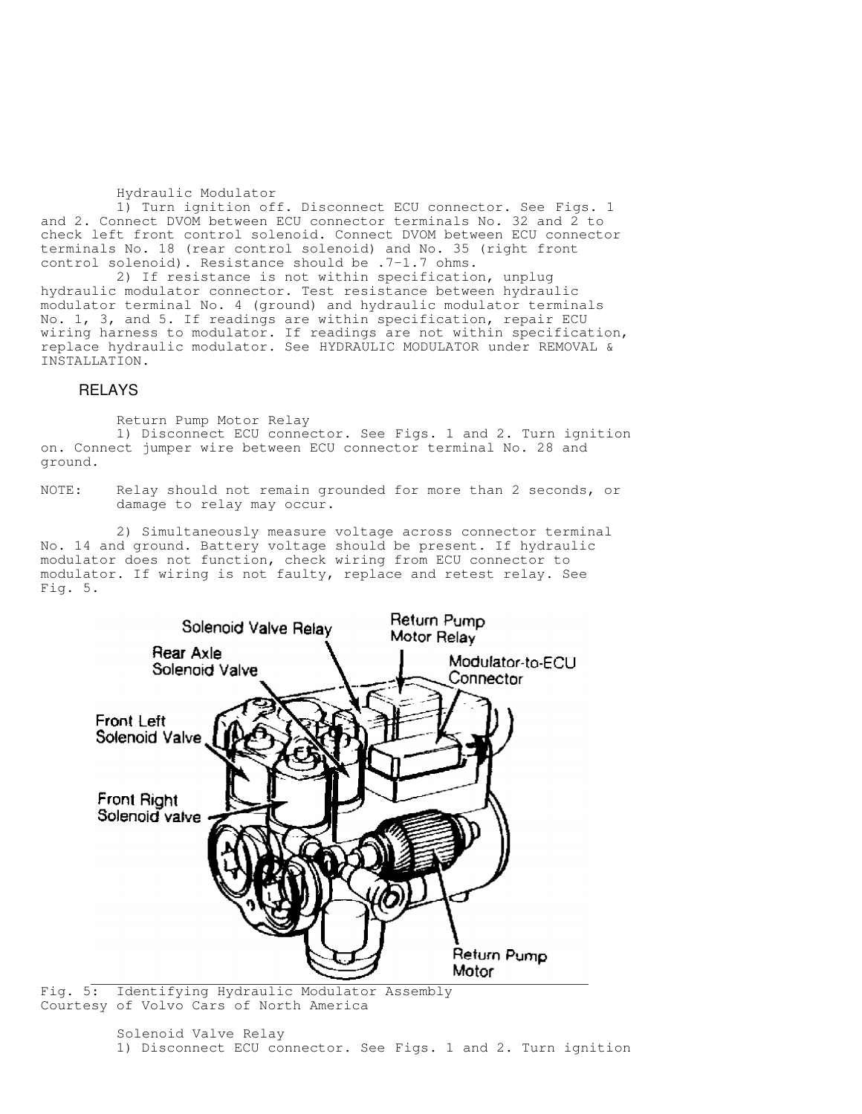#### Hydraulic Modulator

 1) Turn ignition off. Disconnect ECU connector. See Figs. 1 and 2. Connect DVOM between ECU connector terminals No. 32 and 2 to check left front control solenoid. Connect DVOM between ECU connector terminals No. 18 (rear control solenoid) and No. 35 (right front control solenoid). Resistance should be .7-1.7 ohms.

 2) If resistance is not within specification, unplug hydraulic modulator connector. Test resistance between hydraulic modulator terminal No. 4 (ground) and hydraulic modulator terminals No. 1, 3, and 5. If readings are within specification, repair ECU wiring harness to modulator. If readings are not within specification, replace hydraulic modulator. See HYDRAULIC MODULATOR under REMOVAL & INSTALLATION.

### RELAYS

Return Pump Motor Relay

 1) Disconnect ECU connector. See Figs. 1 and 2. Turn ignition on. Connect jumper wire between ECU connector terminal No. 28 and ground.

NOTE: Relay should not remain grounded for more than 2 seconds, or damage to relay may occur.

 2) Simultaneously measure voltage across connector terminal No. 14 and ground. Battery voltage should be present. If hydraulic modulator does not function, check wiring from ECU connector to modulator. If wiring is not faulty, replace and retest relay. See Fig. 5.



Fig. 5: Identifying Hydraulic Modulator Assembly Courtesy of Volvo Cars of North America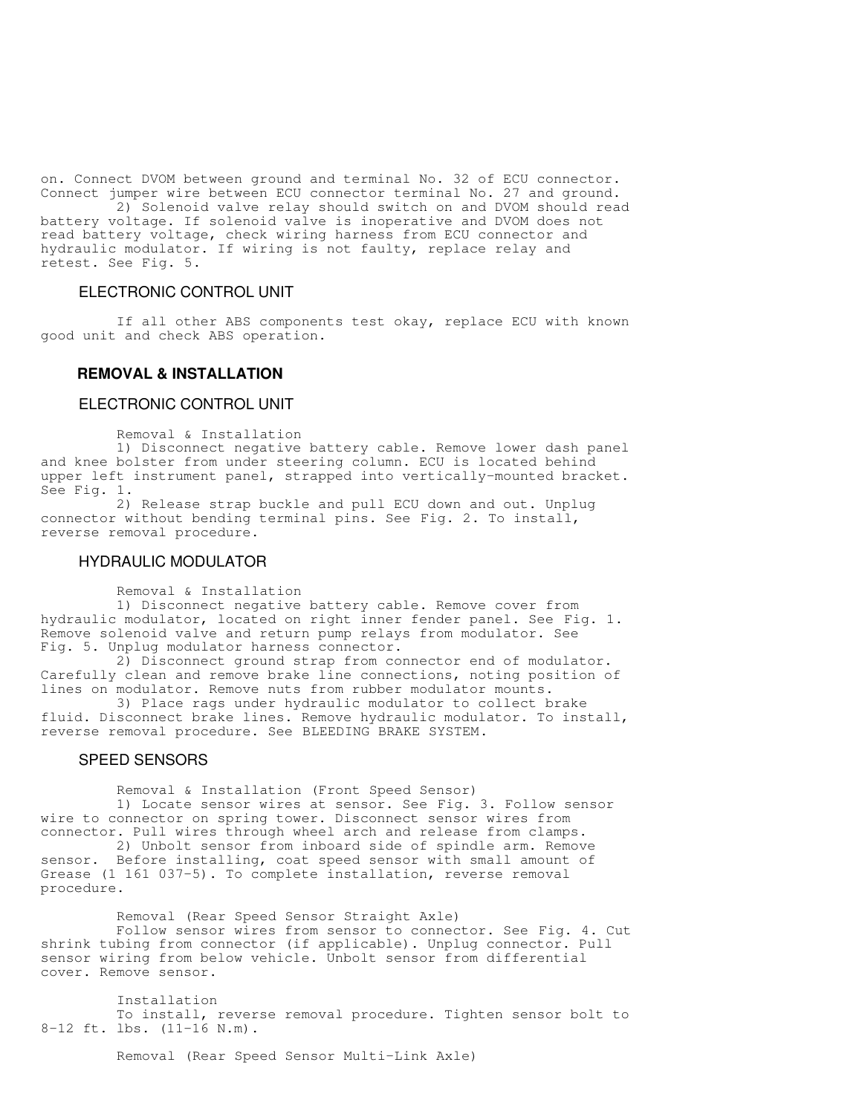on. Connect DVOM between ground and terminal No. 32 of ECU connector. Connect jumper wire between ECU connector terminal No. 27 and ground.

 2) Solenoid valve relay should switch on and DVOM should read battery voltage. If solenoid valve is inoperative and DVOM does not read battery voltage, check wiring harness from ECU connector and hydraulic modulator. If wiring is not faulty, replace relay and retest. See Fig. 5.

### ELECTRONIC CONTROL UNIT

 If all other ABS components test okay, replace ECU with known good unit and check ABS operation.

# **REMOVAL & INSTALLATION**

### ELECTRONIC CONTROL UNIT

Removal & Installation

 1) Disconnect negative battery cable. Remove lower dash panel and knee bolster from under steering column. ECU is located behind upper left instrument panel, strapped into vertically-mounted bracket. See Fig. 1.

 2) Release strap buckle and pull ECU down and out. Unplug connector without bending terminal pins. See Fig. 2. To install, reverse removal procedure.

### HYDRAULIC MODULATOR

Removal & Installation

 1) Disconnect negative battery cable. Remove cover from hydraulic modulator, located on right inner fender panel. See Fig. 1. Remove solenoid valve and return pump relays from modulator. See Fig. 5. Unplug modulator harness connector.

 2) Disconnect ground strap from connector end of modulator. Carefully clean and remove brake line connections, noting position of lines on modulator. Remove nuts from rubber modulator mounts.

 3) Place rags under hydraulic modulator to collect brake fluid. Disconnect brake lines. Remove hydraulic modulator. To install, reverse removal procedure. See BLEEDING BRAKE SYSTEM.

#### SPEED SENSORS

 Removal & Installation (Front Speed Sensor) 1) Locate sensor wires at sensor. See Fig. 3. Follow sensor wire to connector on spring tower. Disconnect sensor wires from

connector. Pull wires through wheel arch and release from clamps. 2) Unbolt sensor from inboard side of spindle arm. Remove sensor. Before installing, coat speed sensor with small amount of Grease (1 161 037-5). To complete installation, reverse removal procedure.

 Removal (Rear Speed Sensor Straight Axle) Follow sensor wires from sensor to connector. See Fig. 4. Cut shrink tubing from connector (if applicable). Unplug connector. Pull sensor wiring from below vehicle. Unbolt sensor from differential cover. Remove sensor.

 Installation To install, reverse removal procedure. Tighten sensor bolt to 8-12 ft. lbs. (11-16 N.m).

Removal (Rear Speed Sensor Multi-Link Axle)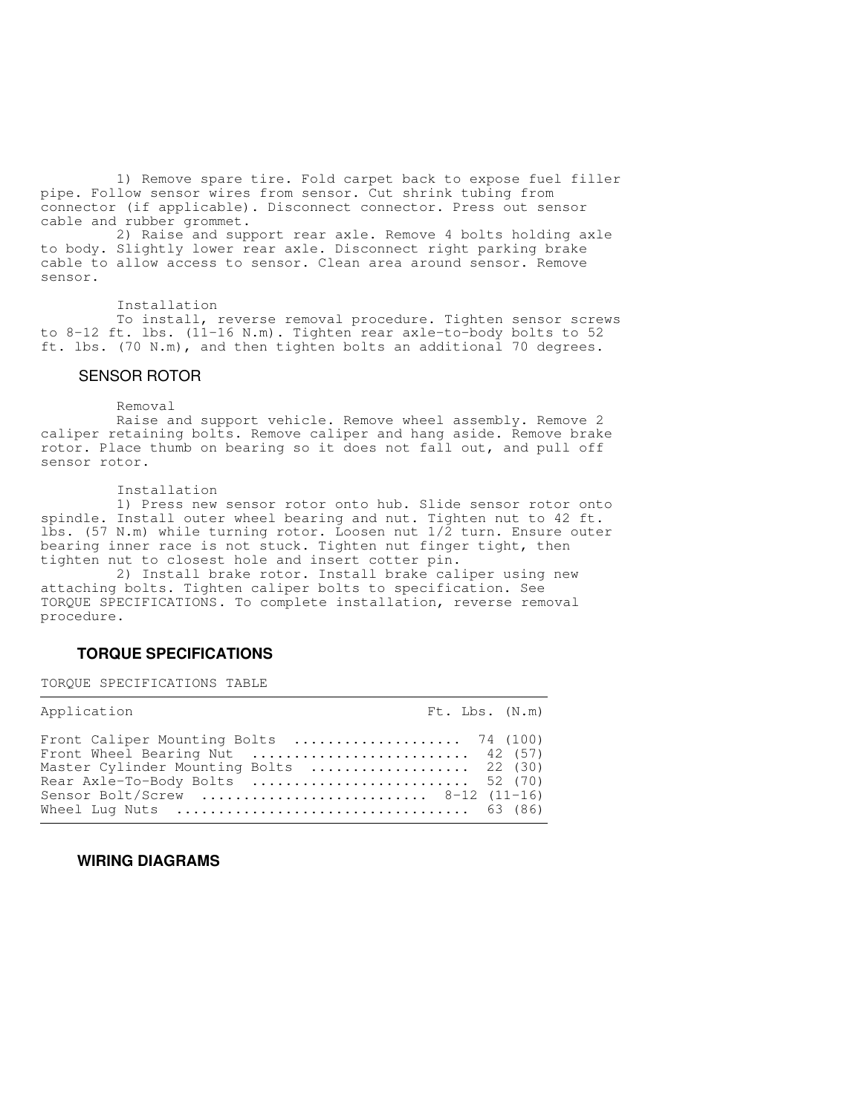1) Remove spare tire. Fold carpet back to expose fuel filler pipe. Follow sensor wires from sensor. Cut shrink tubing from connector (if applicable). Disconnect connector. Press out sensor cable and rubber grommet.

 2) Raise and support rear axle. Remove 4 bolts holding axle to body. Slightly lower rear axle. Disconnect right parking brake cable to allow access to sensor. Clean area around sensor. Remove sensor.

#### Installation

 To install, reverse removal procedure. Tighten sensor screws to 8-12 ft. lbs. (11-16 N.m). Tighten rear axle-to-body bolts to 52 ft. lbs. (70 N.m), and then tighten bolts an additional 70 degrees.

### SENSOR ROTOR

#### Removal

 Raise and support vehicle. Remove wheel assembly. Remove 2 caliper retaining bolts. Remove caliper and hang aside. Remove brake rotor. Place thumb on bearing so it does not fall out, and pull off sensor rotor.

#### Installation

 1) Press new sensor rotor onto hub. Slide sensor rotor onto spindle. Install outer wheel bearing and nut. Tighten nut to 42 ft. lbs. (57 N.m) while turning rotor. Loosen nut 1/2 turn. Ensure outer bearing inner race is not stuck. Tighten nut finger tight, then tighten nut to closest hole and insert cotter pin.

the contract of the contract of the contract of the contract of the contract of the contract of the contract of

the contract of the contract of the contract of the contract of the contract of the contract of the contract of

 2) Install brake rotor. Install brake caliper using new attaching bolts. Tighten caliper bolts to specification. See TORQUE SPECIFICATIONS. To complete installation, reverse removal procedure.

## **TORQUE SPECIFICATIONS**

TORQUE SPECIFICATIONS TABLE

| Application                                                                                                                                                                                                                                                                                                                                                       |  | Ft. Lbs. (N.m) |
|-------------------------------------------------------------------------------------------------------------------------------------------------------------------------------------------------------------------------------------------------------------------------------------------------------------------------------------------------------------------|--|----------------|
| Front Caliper Mounting Bolts $\ldots \ldots \ldots \ldots \ldots \qquad 74$ (100)<br>Front Wheel Bearing Nut $\ldots \ldots \ldots \ldots \ldots \ldots$ 42 (57)<br>Master Cylinder Mounting Bolts  22 (30)<br>Rear Axle-To-Body Bolts  52 (70)<br>Sensor Bolt/Screw  8-12 (11-16)<br>Wheel Lug Nuts $\dots\dots\dots\dots\dots\dots\dots\dots\dots\dots$ 63 (86) |  |                |

### **WIRING DIAGRAMS**